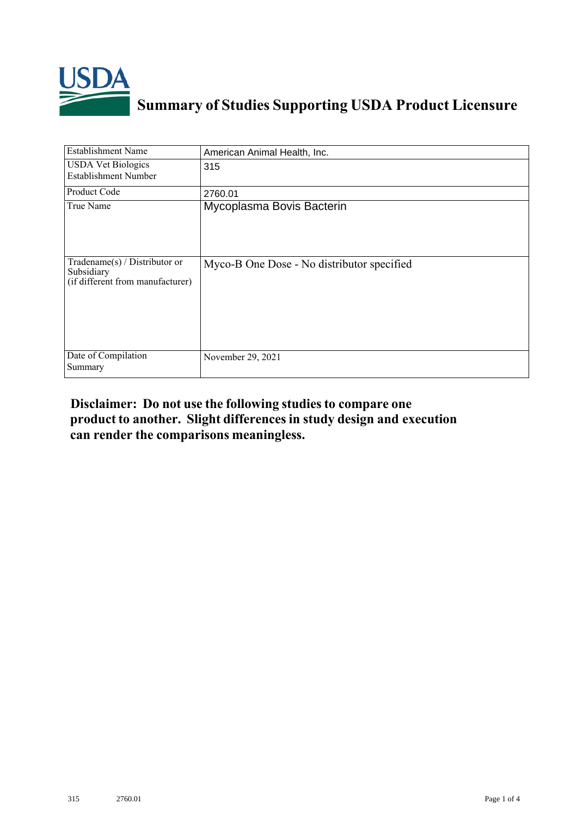

## **Summary of Studies Supporting USDA Product Licensure**

| <b>Establishment Name</b>                                                       | American Animal Health, Inc.               |  |  |  |
|---------------------------------------------------------------------------------|--------------------------------------------|--|--|--|
| <b>USDA Vet Biologics</b><br><b>Establishment Number</b>                        | 315                                        |  |  |  |
| Product Code                                                                    | 2760.01                                    |  |  |  |
| True Name                                                                       | Mycoplasma Bovis Bacterin                  |  |  |  |
| Tradename(s) / Distributor or<br>Subsidiary<br>(if different from manufacturer) | Myco-B One Dose - No distributor specified |  |  |  |
| Date of Compilation<br>Summary                                                  | November 29, 2021                          |  |  |  |

## **Disclaimer: Do not use the following studiesto compare one product to another. Slight differencesin study design and execution can render the comparisons meaningless.**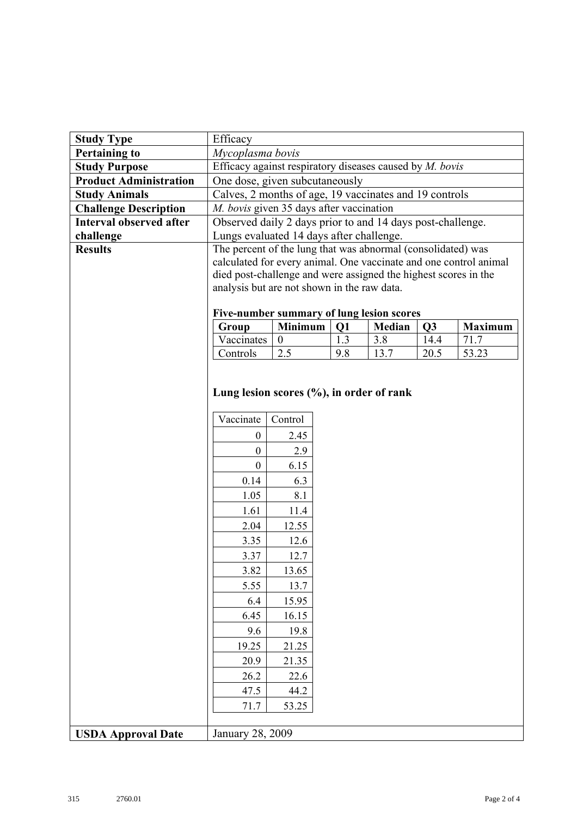| <b>Study Type</b>              | Efficacy                                                                            |                  |  |     |      |      |                |  |
|--------------------------------|-------------------------------------------------------------------------------------|------------------|--|-----|------|------|----------------|--|
| <b>Pertaining to</b>           | Mycoplasma bovis                                                                    |                  |  |     |      |      |                |  |
| <b>Study Purpose</b>           | Efficacy against respiratory diseases caused by M. bovis                            |                  |  |     |      |      |                |  |
| <b>Product Administration</b>  | One dose, given subcutaneously                                                      |                  |  |     |      |      |                |  |
| <b>Study Animals</b>           | Calves, 2 months of age, 19 vaccinates and 19 controls                              |                  |  |     |      |      |                |  |
| <b>Challenge Description</b>   | M. bovis given 35 days after vaccination                                            |                  |  |     |      |      |                |  |
| <b>Interval observed after</b> | Observed daily 2 days prior to and 14 days post-challenge.                          |                  |  |     |      |      |                |  |
| challenge                      | Lungs evaluated 14 days after challenge.                                            |                  |  |     |      |      |                |  |
| <b>Results</b>                 | The percent of the lung that was abnormal (consolidated) was                        |                  |  |     |      |      |                |  |
|                                | calculated for every animal. One vaccinate and one control animal                   |                  |  |     |      |      |                |  |
|                                | died post-challenge and were assigned the highest scores in the                     |                  |  |     |      |      |                |  |
|                                | analysis but are not shown in the raw data.                                         |                  |  |     |      |      |                |  |
|                                |                                                                                     |                  |  |     |      |      |                |  |
|                                | Five-number summary of lung lesion scores<br>Minimum<br>Q1<br>Median<br>Q3<br>Group |                  |  |     |      |      | <b>Maximum</b> |  |
|                                | Vaccinates                                                                          | $\boldsymbol{0}$ |  | 1.3 | 3.8  | 14.4 | 71.7           |  |
|                                | Controls                                                                            | 2.5              |  | 9.8 | 13.7 | 20.5 | 53.23          |  |
|                                |                                                                                     |                  |  |     |      |      |                |  |
|                                |                                                                                     |                  |  |     |      |      |                |  |
|                                | Lung lesion scores $(\%),$ in order of rank                                         |                  |  |     |      |      |                |  |
|                                |                                                                                     |                  |  |     |      |      |                |  |
|                                | Vaccinate                                                                           | Control          |  |     |      |      |                |  |
|                                | $\overline{0}$                                                                      | 2.45             |  |     |      |      |                |  |
|                                | $\overline{0}$                                                                      | 2.9              |  |     |      |      |                |  |
|                                | $\overline{0}$                                                                      | 6.15             |  |     |      |      |                |  |
|                                | 0.14                                                                                | 6.3              |  |     |      |      |                |  |
|                                | 1.05                                                                                | 8.1              |  |     |      |      |                |  |
|                                | 1.61                                                                                | 11.4             |  |     |      |      |                |  |
|                                | 2.04                                                                                | 12.55            |  |     |      |      |                |  |
|                                | 3.35                                                                                | 12.6             |  |     |      |      |                |  |
|                                | 3.37                                                                                | 12.7             |  |     |      |      |                |  |
|                                | 3.82                                                                                | 13.65            |  |     |      |      |                |  |
|                                | 5.55                                                                                | 13.7             |  |     |      |      |                |  |
|                                | 6.4                                                                                 | 15.95            |  |     |      |      |                |  |
|                                | 6.45                                                                                | 16.15            |  |     |      |      |                |  |
|                                | 9.6                                                                                 | 19.8             |  |     |      |      |                |  |
|                                | 19.25                                                                               | 21.25            |  |     |      |      |                |  |
|                                | 20.9                                                                                | 21.35            |  |     |      |      |                |  |
|                                | 26.2                                                                                | 22.6             |  |     |      |      |                |  |
|                                |                                                                                     |                  |  |     |      |      |                |  |
|                                | 47.5                                                                                | 44.2             |  |     |      |      |                |  |
|                                | 71.7                                                                                | 53.25            |  |     |      |      |                |  |
|                                | January 28, 2009                                                                    |                  |  |     |      |      |                |  |
| <b>USDA Approval Date</b>      |                                                                                     |                  |  |     |      |      |                |  |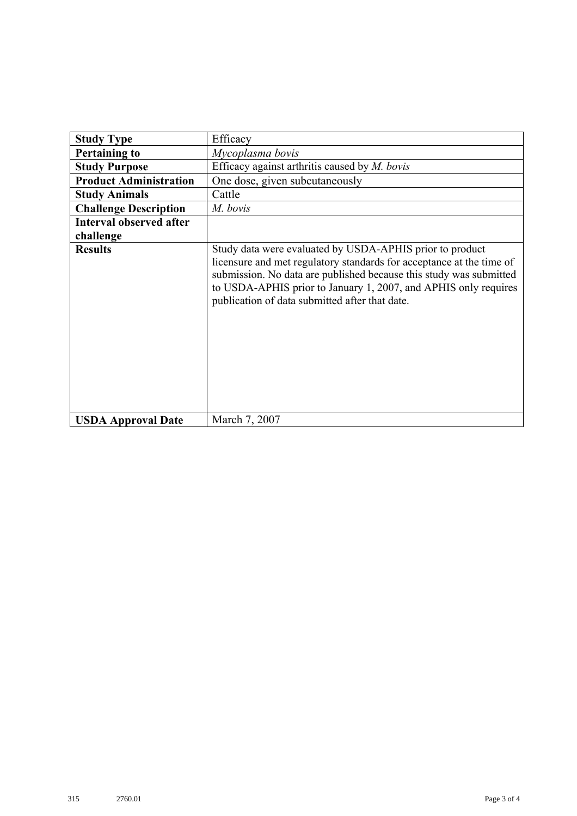| <b>Study Type</b>              | Efficacy                                                                                                                                                                                                                                                                                                                    |  |  |  |  |  |
|--------------------------------|-----------------------------------------------------------------------------------------------------------------------------------------------------------------------------------------------------------------------------------------------------------------------------------------------------------------------------|--|--|--|--|--|
| <b>Pertaining to</b>           | Mycoplasma bovis                                                                                                                                                                                                                                                                                                            |  |  |  |  |  |
| <b>Study Purpose</b>           | Efficacy against arthritis caused by $M.$ bovis                                                                                                                                                                                                                                                                             |  |  |  |  |  |
| <b>Product Administration</b>  | One dose, given subcutaneously                                                                                                                                                                                                                                                                                              |  |  |  |  |  |
| <b>Study Animals</b>           | Cattle                                                                                                                                                                                                                                                                                                                      |  |  |  |  |  |
| <b>Challenge Description</b>   | M. bovis                                                                                                                                                                                                                                                                                                                    |  |  |  |  |  |
| <b>Interval observed after</b> |                                                                                                                                                                                                                                                                                                                             |  |  |  |  |  |
| challenge                      |                                                                                                                                                                                                                                                                                                                             |  |  |  |  |  |
| <b>Results</b>                 | Study data were evaluated by USDA-APHIS prior to product<br>licensure and met regulatory standards for acceptance at the time of<br>submission. No data are published because this study was submitted<br>to USDA-APHIS prior to January 1, 2007, and APHIS only requires<br>publication of data submitted after that date. |  |  |  |  |  |
| <b>USDA Approval Date</b>      | March 7, 2007                                                                                                                                                                                                                                                                                                               |  |  |  |  |  |